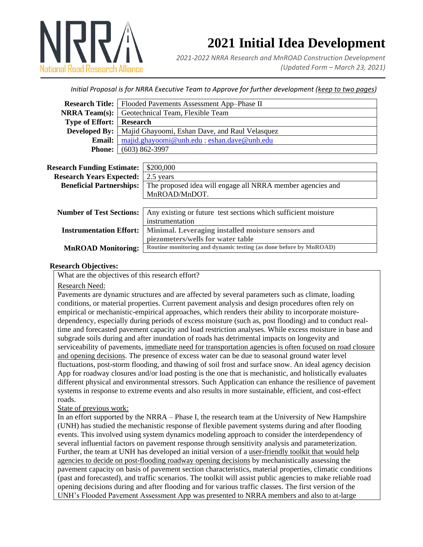

# **2021 Initial Idea Development**

*2021-2022 NRRA Research and MnROAD Construction Development (Updated Form – March 23, 2021)*

*Initial Proposal is for NRRA Executive Team to Approve for further development (keep to two pages)*

|                                 | <b>Research Title:</b>   Flooded Pavements Assessment App-Phase II    |
|---------------------------------|-----------------------------------------------------------------------|
|                                 | <b>NRRA Team(s):</b> Geotechnical Team, Flexible Team                 |
| <b>Type of Effort:</b> Research |                                                                       |
|                                 | <b>Developed By:</b>   Majid Ghayoomi, Eshan Dave, and Raul Velasquez |
| Email:                          | majid.ghayoomi@unh.edu; eshan.dave@unh.edu                            |
|                                 | <b>Phone:</b> $(603) 862-3997$                                        |
|                                 |                                                                       |

| <b>Research Funding Estimate:</b> | \$200,000                                                         |
|-----------------------------------|-------------------------------------------------------------------|
| <b>Research Years Expected:</b>   | 2.5 years                                                         |
| <b>Beneficial Partnerships:</b>   | The proposed idea will engage all NRRA member agencies and        |
|                                   | MnROAD/MnDOT.                                                     |
|                                   |                                                                   |
| <b>Number of Test Sections:</b>   | Any existing or future test sections which sufficient moisture    |
|                                   | instrumentation                                                   |
| <b>Instrumentation Effort:</b>    | Minimal. Leveraging installed moisture sensors and                |
|                                   | piezometers/wells for water table                                 |
| <b>MnROAD Monitoring:</b>         | Routine monitoring and dynamic testing (as done before by MnROAD) |

### **Research Objectives:**

What are the objectives of this research effort?

#### Research Need:

Pavements are dynamic structures and are affected by several parameters such as climate, loading conditions, or material properties. Current pavement analysis and design procedures often rely on empirical or mechanistic-empirical approaches, which renders their ability to incorporate moisturedependency, especially during periods of excess moisture (such as, post flooding) and to conduct realtime and forecasted pavement capacity and load restriction analyses. While excess moisture in base and subgrade soils during and after inundation of roads has detrimental impacts on longevity and serviceability of pavements, immediate need for transportation agencies is often focused on road closure and opening decisions. The presence of excess water can be due to seasonal ground water level fluctuations, post-storm flooding, and thawing of soil frost and surface snow. An ideal agency decision App for roadway closures and/or load posting is the one that is mechanistic, and holistically evaluates different physical and environmental stressors. Such Application can enhance the resilience of pavement systems in response to extreme events and also results in more sustainable, efficient, and cost-effect roads.

State of previous work:

In an effort supported by the NRRA – Phase I, the research team at the University of New Hampshire (UNH) has studied the mechanistic response of flexible pavement systems during and after flooding events. This involved using system dynamics modeling approach to consider the interdependency of several influential factors on pavement response through sensitivity analysis and parameterization. Further, the team at UNH has developed an initial version of a user-friendly toolkit that would help agencies to decide on post-flooding roadway opening decisions by mechanistically assessing the pavement capacity on basis of pavement section characteristics, material properties, climatic conditions (past and forecasted), and traffic scenarios. The toolkit will assist public agencies to make reliable road opening decisions during and after flooding and for various traffic classes. The first version of the UNH's Flooded Pavement Assessment App was presented to NRRA members and also to at-large